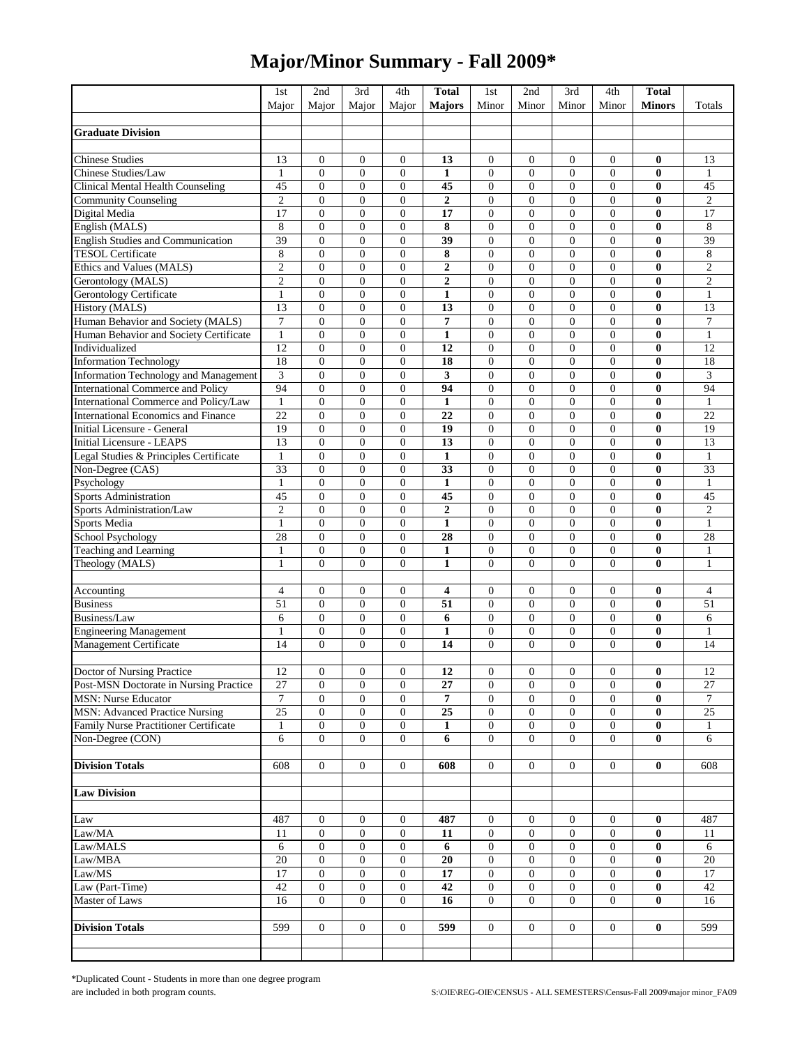## **Major/Minor Summary - Fall 2009\***

|                                              | 1st                  | 2nd                                  | 3rd                                  | 4th                              | <b>Total</b>           | 1st                            | 2nd                        | 3rd                                | 4th                              | <b>Total</b>         |                      |
|----------------------------------------------|----------------------|--------------------------------------|--------------------------------------|----------------------------------|------------------------|--------------------------------|----------------------------|------------------------------------|----------------------------------|----------------------|----------------------|
|                                              | Major                | Major                                | Major                                | Major                            | <b>Majors</b>          | Minor                          | Minor                      | Minor                              | Minor                            | <b>Minors</b>        | Totals               |
|                                              |                      |                                      |                                      |                                  |                        |                                |                            |                                    |                                  |                      |                      |
| <b>Graduate Division</b>                     |                      |                                      |                                      |                                  |                        |                                |                            |                                    |                                  |                      |                      |
|                                              |                      |                                      |                                      |                                  |                        |                                |                            |                                    |                                  |                      |                      |
| <b>Chinese Studies</b>                       | 13                   | $\boldsymbol{0}$                     | $\boldsymbol{0}$                     | $\overline{0}$                   | 13                     | $\boldsymbol{0}$               | $\overline{0}$             | $\mathbf{0}$                       | $\overline{0}$                   | $\bf{0}$             | 13                   |
| Chinese Studies/Law                          | 1                    | $\boldsymbol{0}$                     | $\mathbf{0}$                         | $\overline{0}$                   | 1                      | $\mathbf{0}$                   | $\overline{0}$             | $\mathbf{0}$                       | $\overline{0}$                   | 0                    | 1                    |
| Clinical Mental Health Counseling            | 45                   | $\boldsymbol{0}$                     | $\boldsymbol{0}$                     | $\overline{0}$                   | 45                     | $\mathbf{0}$                   | $\overline{0}$             | $\boldsymbol{0}$                   | $\mathbf{0}$                     | $\bf{0}$             | 45                   |
| <b>Community Counseling</b><br>Digital Media | $\mathfrak{2}$<br>17 | $\boldsymbol{0}$                     | $\mathbf{0}$                         | $\overline{0}$<br>$\overline{0}$ | $\boldsymbol{2}$<br>17 | $\overline{0}$<br>$\mathbf{0}$ | $\overline{0}$             | $\boldsymbol{0}$                   | $\overline{0}$<br>$\overline{0}$ | $\bf{0}$             | $\overline{c}$<br>17 |
| English (MALS)                               | 8                    | $\boldsymbol{0}$<br>$\boldsymbol{0}$ | $\boldsymbol{0}$<br>$\boldsymbol{0}$ | $\overline{0}$                   | 8                      | $\mathbf{0}$                   | 0<br>$\overline{0}$        | $\boldsymbol{0}$<br>$\overline{0}$ | $\overline{0}$                   | $\bf{0}$<br>$\bf{0}$ | 8                    |
| <b>English Studies and Communication</b>     | 39                   | $\mathbf{0}$                         | $\mathbf{0}$                         | $\overline{0}$                   | 39                     | $\Omega$                       | $\overline{0}$             | $\mathbf{0}$                       | $\overline{0}$                   | $\bf{0}$             | 39                   |
| <b>TESOL Certificate</b>                     | 8                    | $\boldsymbol{0}$                     | $\boldsymbol{0}$                     | $\overline{0}$                   | 8                      | $\mathbf{0}$                   | $\overline{0}$             | $\boldsymbol{0}$                   | $\overline{0}$                   | $\bf{0}$             | 8                    |
| Ethics and Values (MALS)                     | $\mathbf{2}$         | $\boldsymbol{0}$                     | $\mathbf{0}$                         | $\mathbf{0}$                     | $\boldsymbol{2}$       | $\mathbf{0}$                   | $\overline{0}$             | $\boldsymbol{0}$                   | $\mathbf{0}$                     | $\bf{0}$             | $\overline{c}$       |
| Gerontology (MALS)                           | $\sqrt{2}$           | $\boldsymbol{0}$                     | $\boldsymbol{0}$                     | $\overline{0}$                   | $\mathbf{2}$           | $\mathbf{0}$                   | $\overline{0}$             | $\boldsymbol{0}$                   | $\overline{0}$                   | $\bf{0}$             | $\overline{c}$       |
| Gerontology Certificate                      | $\mathbf{1}$         | $\boldsymbol{0}$                     | $\boldsymbol{0}$                     | $\overline{0}$                   | $\mathbf{1}$           | $\mathbf{0}$                   | $\overline{0}$             | $\mathbf{0}$                       | $\overline{0}$                   | $\bf{0}$             | $\mathbf{1}$         |
| History (MALS)                               | 13                   | $\boldsymbol{0}$                     | $\mathbf{0}$                         | $\overline{0}$                   | 13                     | $\mathbf{0}$                   | $\overline{0}$             | $\mathbf{0}$                       | $\overline{0}$                   | $\bf{0}$             | 13                   |
| Human Behavior and Society (MALS)            | 7                    | $\boldsymbol{0}$                     | $\boldsymbol{0}$                     | $\mathbf{0}$                     | 7                      | $\mathbf{0}$                   | $\overline{0}$             | $\boldsymbol{0}$                   | $\mathbf{0}$                     | $\bf{0}$             | 7                    |
| Human Behavior and Society Certificate       | $\mathbf{1}$         | $\boldsymbol{0}$                     | $\mathbf{0}$                         | $\overline{0}$                   | $\mathbf{1}$           | $\mathbf{0}$                   | $\overline{0}$             | $\boldsymbol{0}$                   | $\overline{0}$                   | $\bf{0}$             | $\mathbf{1}$         |
| Individualized                               | 12                   | $\boldsymbol{0}$                     | $\boldsymbol{0}$                     | $\overline{0}$                   | 12                     | $\overline{0}$                 | $\overline{0}$             | $\boldsymbol{0}$                   | $\overline{0}$                   | $\bf{0}$             | 12                   |
| <b>Information Technology</b>                | 18                   | $\boldsymbol{0}$                     | $\boldsymbol{0}$                     | $\overline{0}$                   | 18                     | $\mathbf{0}$                   | $\overline{0}$             | $\overline{0}$                     | $\mathbf{0}$                     | $\bf{0}$             | 18                   |
| Information Technology and Management        | 3                    | $\boldsymbol{0}$                     | $\mathbf{0}$                         | $\overline{0}$                   | 3                      | $\mathbf{0}$                   | $\overline{0}$             | $\boldsymbol{0}$                   | $\overline{0}$                   | $\bf{0}$             | 3                    |
| <b>International Commerce and Policy</b>     | 94                   | $\boldsymbol{0}$                     | $\boldsymbol{0}$                     | $\overline{0}$                   | 94                     | $\overline{0}$                 | $\overline{0}$             | $\boldsymbol{0}$                   | $\overline{0}$                   | $\bf{0}$             | 94                   |
| International Commerce and Policy/Law        | $\mathbf{1}$         | $\boldsymbol{0}$                     | $\boldsymbol{0}$                     | $\overline{0}$                   | $\mathbf{1}$           | $\mathbf{0}$                   | $\overline{0}$             | $\boldsymbol{0}$                   | $\boldsymbol{0}$                 | $\bf{0}$             | $\mathbf{1}$         |
| <b>International Economics and Finance</b>   | 22                   | $\boldsymbol{0}$                     | $\boldsymbol{0}$                     | $\overline{0}$                   | 22                     | $\mathbf{0}$                   | $\overline{0}$             | $\boldsymbol{0}$                   | $\overline{0}$                   | $\bf{0}$             | $\overline{22}$      |
| Initial Licensure - General                  | 19                   | $\boldsymbol{0}$                     | $\boldsymbol{0}$                     | $\overline{0}$                   | 19                     | $\mathbf{0}$                   | $\overline{0}$             | $\overline{0}$                     | $\overline{0}$                   | $\bf{0}$             | 19                   |
| <b>Initial Licensure - LEAPS</b>             | 13                   | $\boldsymbol{0}$                     | $\mathbf{0}$                         | $\overline{0}$                   | 13                     | $\mathbf{0}$                   | $\overline{0}$             | $\mathbf{0}$                       | $\overline{0}$                   | $\bf{0}$             | 13                   |
| Legal Studies & Principles Certificate       | $\mathbf{1}$         | $\boldsymbol{0}$                     | $\boldsymbol{0}$                     | $\mathbf{0}$                     | $\mathbf{1}$           | $\mathbf{0}$                   | $\overline{0}$             | $\boldsymbol{0}$                   | $\mathbf{0}$                     | $\bf{0}$             | $\mathbf{1}$         |
| Non-Degree (CAS)                             | 33                   | $\boldsymbol{0}$                     | $\mathbf{0}$                         | $\overline{0}$                   | $\overline{33}$        | $\mathbf{0}$                   | $\overline{0}$             | $\boldsymbol{0}$                   | $\mathbf{0}$                     | $\bf{0}$             | 33                   |
| Psychology                                   | $\mathbf{1}$         | $\boldsymbol{0}$                     | $\boldsymbol{0}$                     | $\overline{0}$                   | $\mathbf{1}$           | $\mathbf{0}$                   | $\overline{0}$             | $\boldsymbol{0}$                   | $\overline{0}$                   | $\bf{0}$             | $\mathbf{1}$         |
| <b>Sports Administration</b>                 | 45                   | $\boldsymbol{0}$                     | $\boldsymbol{0}$                     | $\overline{0}$                   | 45                     | $\mathbf{0}$                   | $\overline{0}$             | $\boldsymbol{0}$                   | $\mathbf{0}$                     | $\bf{0}$             | 45                   |
| Sports Administration/Law                    | $\overline{c}$       | $\overline{0}$                       | $\mathbf{0}$                         | $\overline{0}$                   | $\mathbf 2$            | $\Omega$                       | $\overline{0}$             | $\mathbf{0}$                       | $\overline{0}$                   | $\bf{0}$             | $\overline{c}$       |
| Sports Media                                 | $\mathbf{1}$         | $\boldsymbol{0}$                     | $\boldsymbol{0}$                     | $\overline{0}$                   | $\mathbf{1}$           | $\mathbf{0}$                   | $\overline{0}$             | $\boldsymbol{0}$                   | $\overline{0}$                   | $\bf{0}$             | $\mathbf{1}$         |
| School Psychology                            | 28                   | $\boldsymbol{0}$                     | $\mathbf{0}$                         | $\overline{0}$                   | 28                     | $\mathbf{0}$                   | $\overline{0}$             | $\boldsymbol{0}$                   | $\overline{0}$                   | $\bf{0}$             | 28                   |
| Teaching and Learning                        | $\mathbf{1}$         | $\boldsymbol{0}$                     | $\boldsymbol{0}$                     | $\overline{0}$                   | $\mathbf{1}$           | $\overline{0}$                 | $\overline{0}$             | $\boldsymbol{0}$                   | $\overline{0}$                   | $\bf{0}$             | $\mathbf{1}$         |
| Theology (MALS)                              | 1                    | $\boldsymbol{0}$                     | $\mathbf{0}$                         | $\overline{0}$                   | $\mathbf{1}$           | $\Omega$                       | $\overline{0}$             | $\overline{0}$                     | $\mathbf{0}$                     | $\bf{0}$             | $\mathbf{1}$         |
|                                              |                      |                                      |                                      |                                  |                        |                                |                            |                                    |                                  |                      |                      |
| Accounting                                   | $\overline{4}$       | $\boldsymbol{0}$                     | $\boldsymbol{0}$                     | $\overline{0}$                   | 4                      | $\mathbf{0}$                   | $\overline{0}$             | $\boldsymbol{0}$                   | $\mathbf{0}$                     | 0                    | 4                    |
| <b>Business</b>                              | 51                   | $\boldsymbol{0}$                     | $\mathbf{0}$                         | $\overline{0}$                   | 51                     | $\mathbf{0}$                   | $\overline{0}$             | $\mathbf{0}$                       | $\overline{0}$                   | $\bf{0}$             | 51                   |
| Business/Law                                 | 6                    | $\boldsymbol{0}$                     | $\boldsymbol{0}$                     | $\overline{0}$                   | 6                      | $\mathbf{0}$                   | $\overline{0}$             | $\boldsymbol{0}$                   | $\overline{0}$                   | $\bf{0}$             | 6                    |
| <b>Engineering Management</b>                | $\mathbf{1}$<br>14   | $\boldsymbol{0}$<br>$\overline{0}$   | $\boldsymbol{0}$                     | $\mathbf{0}$<br>$\Omega$         | $\mathbf{1}$<br>14     | $\mathbf{0}$<br>$\theta$       | $\overline{0}$<br>$\theta$ | $\boldsymbol{0}$                   | $\boldsymbol{0}$<br>$\Omega$     | $\bf{0}$<br>$\bf{0}$ | $\mathbf{1}$<br>14   |
| Management Certificate                       |                      |                                      | $\mathbf{0}$                         |                                  |                        |                                |                            | $\overline{0}$                     |                                  |                      |                      |
| Doctor of Nursing Practice                   | 12                   | $\overline{0}$                       | $\mathbf{0}$                         | $\overline{0}$                   | 12                     | $\mathbf{0}$                   | $\overline{0}$             | $\mathbf{0}$                       | $\mathbf{0}$                     | $\bf{0}$             | 12                   |
| Post-MSN Doctorate in Nursing Practice       | 27                   | $\boldsymbol{0}$                     | $\boldsymbol{0}$                     | $\boldsymbol{0}$                 | 27                     | $\boldsymbol{0}$               | $\boldsymbol{0}$           | $\boldsymbol{0}$                   | $\mathbf{0}$                     | $\bf{0}$             | 27                   |
| <b>MSN: Nurse Educator</b>                   | $\boldsymbol{7}$     | $\overline{0}$                       | $\overline{0}$                       | $\overline{0}$                   | 7                      | $\mathbf{0}$                   | $\overline{0}$             | $\mathbf{0}$                       | $\mathbf{0}$                     | $\bf{0}$             | $\overline{7}$       |
| <b>MSN: Advanced Practice Nursing</b>        | $\overline{25}$      | $\boldsymbol{0}$                     | $\boldsymbol{0}$                     | $\mathbf{0}$                     | $\overline{25}$        | $\overline{0}$                 | 0                          | $\mathbf{0}$                       | $\boldsymbol{0}$                 | 0                    | $\overline{25}$      |
| <b>Family Nurse Practitioner Certificate</b> | $\mathbf{1}$         | $\boldsymbol{0}$                     | $\boldsymbol{0}$                     | $\mathbf{0}$                     | 1                      | $\boldsymbol{0}$               | $\boldsymbol{0}$           | $\boldsymbol{0}$                   | $\boldsymbol{0}$                 | $\bf{0}$             | 1                    |
| Non-Degree (CON)                             | 6                    | $\boldsymbol{0}$                     | $\overline{0}$                       | $\mathbf{0}$                     | 6                      | $\overline{0}$                 | $\overline{0}$             | $\mathbf{0}$                       | $\overline{0}$                   | $\bf{0}$             | 6                    |
|                                              |                      |                                      |                                      |                                  |                        |                                |                            |                                    |                                  |                      |                      |
| <b>Division Totals</b>                       | 608                  | $\mathbf{0}$                         | $\mathbf{0}$                         | $\overline{0}$                   | 608                    | $\overline{0}$                 | $\overline{0}$             | $\mathbf{0}$                       | $\overline{0}$                   | $\bf{0}$             | 608                  |
|                                              |                      |                                      |                                      |                                  |                        |                                |                            |                                    |                                  |                      |                      |
| <b>Law Division</b>                          |                      |                                      |                                      |                                  |                        |                                |                            |                                    |                                  |                      |                      |
|                                              |                      |                                      |                                      |                                  |                        |                                |                            |                                    |                                  |                      |                      |
| Law                                          | 487                  | $\boldsymbol{0}$                     | $\boldsymbol{0}$                     | $\boldsymbol{0}$                 | 487                    | $\boldsymbol{0}$               | $\boldsymbol{0}$           | $\boldsymbol{0}$                   | $\mathbf{0}$                     | $\bf{0}$             | 487                  |
| Law/MA                                       | 11                   | $\boldsymbol{0}$                     | $\mathbf{0}$                         | $\mathbf{0}$                     | 11                     | $\mathbf{0}$                   | $\boldsymbol{0}$           | $\mathbf{0}$                       | $\mathbf{0}$                     | $\bf{0}$             | 11                   |
| Law/MALS                                     | 6                    | $\boldsymbol{0}$                     | $\boldsymbol{0}$                     | $\boldsymbol{0}$                 | 6                      | $\mathbf{0}$                   | 0                          | $\mathbf{0}$                       | $\boldsymbol{0}$                 | 0                    | 6                    |
| Law/MBA                                      | $\overline{20}$      | $\boldsymbol{0}$                     | $\boldsymbol{0}$                     | $\mathbf{0}$                     | 20                     | $\overline{0}$                 | $\boldsymbol{0}$           | $\boldsymbol{0}$                   | $\overline{0}$                   | $\bf{0}$             | 20                   |
| Law/MS                                       | 17                   | $\boldsymbol{0}$                     | $\boldsymbol{0}$                     | $\boldsymbol{0}$                 | 17                     | $\mathbf{0}$                   | $\boldsymbol{0}$           | $\boldsymbol{0}$                   | $\boldsymbol{0}$                 | $\bf{0}$             | 17                   |
| Law (Part-Time)                              | 42                   | $\boldsymbol{0}$                     | $\mathbf{0}$                         | $\boldsymbol{0}$                 | 42                     | $\mathbf{0}$                   | 0                          | $\boldsymbol{0}$                   | $\mathbf{0}$                     | $\bf{0}$             | 42                   |
| Master of Laws                               | 16                   | $\boldsymbol{0}$                     | $\overline{0}$                       | $\mathbf{0}$                     | 16                     | $\overline{0}$                 | $\overline{0}$             | $\mathbf{0}$                       | $\overline{0}$                   | $\bf{0}$             | 16                   |
|                                              |                      |                                      |                                      |                                  |                        |                                |                            |                                    |                                  |                      |                      |
| <b>Division Totals</b>                       | 599                  | $\boldsymbol{0}$                     | $\mathbf{0}$                         | $\overline{0}$                   | 599                    | $\overline{0}$                 | $\boldsymbol{0}$           | $\boldsymbol{0}$                   | $\overline{0}$                   | 0                    | 599                  |
|                                              |                      |                                      |                                      |                                  |                        |                                |                            |                                    |                                  |                      |                      |
|                                              |                      |                                      |                                      |                                  |                        |                                |                            |                                    |                                  |                      |                      |

\*Duplicated Count - Students in more than one degree program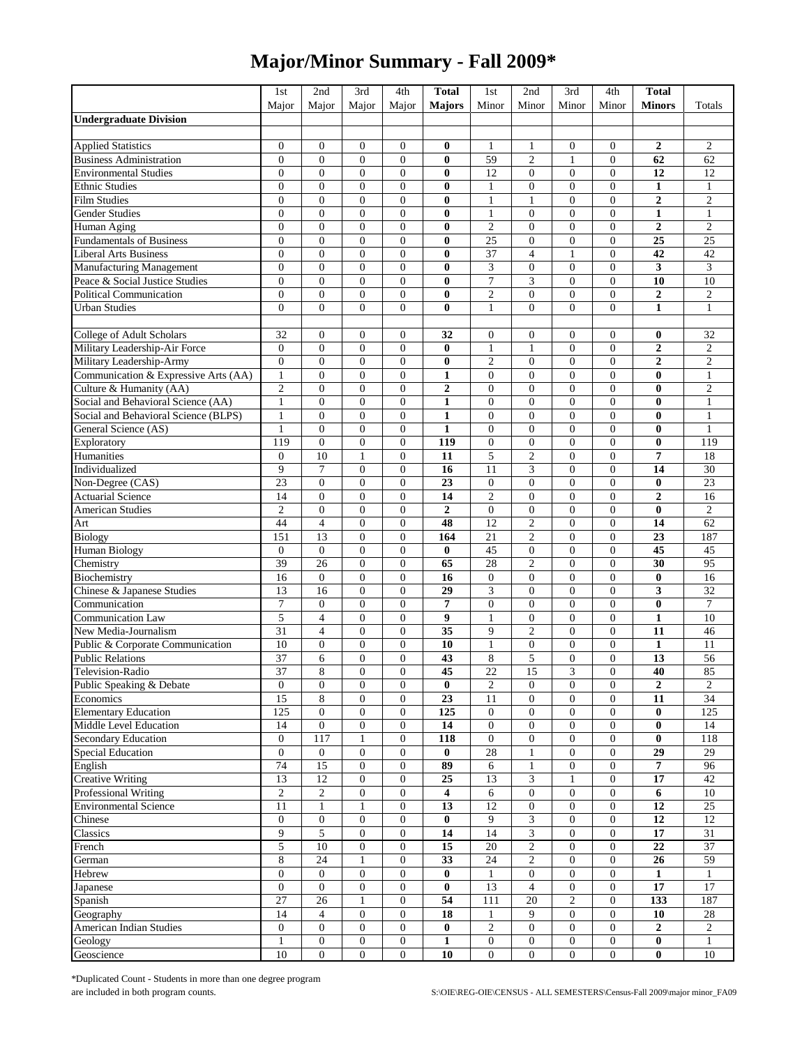## **Major/Minor Summary - Fall 2009\***

|                                      | 1st                   | 2nd                  | 3rd                                | 4th                            | <b>Total</b>            | 1st              | 2nd                   | 3rd                                  | 4th                            | <b>Total</b>     |                 |
|--------------------------------------|-----------------------|----------------------|------------------------------------|--------------------------------|-------------------------|------------------|-----------------------|--------------------------------------|--------------------------------|------------------|-----------------|
|                                      | Major                 | Major                | Maior                              | Major                          | <b>Majors</b>           | Minor            | Minor                 | Minor                                | Minor                          | <b>Minors</b>    | Totals          |
| <b>Undergraduate Division</b>        |                       |                      |                                    |                                |                         |                  |                       |                                      |                                |                  |                 |
| <b>Applied Statistics</b>            | $\overline{0}$        | $\boldsymbol{0}$     | $\mathbf{0}$                       | $\overline{0}$                 | $\bf{0}$                | 1                | 1                     | $\boldsymbol{0}$                     | $\overline{0}$                 | $\boldsymbol{2}$ | $\overline{c}$  |
| <b>Business Administration</b>       | $\overline{0}$        | $\mathbf{0}$         | $\mathbf{0}$                       | $\mathbf{0}$                   | $\bf{0}$                | 59               | $\overline{c}$        | $\mathbf{1}$                         | $\overline{0}$                 | 62               | 62              |
| <b>Environmental Studies</b>         | $\overline{0}$        | $\mathbf{0}$         | $\mathbf{0}$                       | $\overline{0}$                 | $\bf{0}$                | 12               | $\overline{0}$        | $\mathbf{0}$                         | $\overline{0}$                 | 12               | 12              |
| <b>Ethnic Studies</b>                | $\overline{0}$        | $\boldsymbol{0}$     | $\mathbf{0}$                       | $\overline{0}$                 | $\bf{0}$                | $\mathbf{1}$     | $\overline{0}$        | $\overline{0}$                       | $\mathbf{0}$                   | $\mathbf{1}$     | $\mathbf{1}$    |
| <b>Film Studies</b>                  | $\overline{0}$        | $\mathbf{0}$         | $\mathbf{0}$                       | $\mathbf{0}$                   | $\bf{0}$                | $\mathbf{1}$     | 1                     | $\mathbf{0}$                         | $\overline{0}$                 | $\overline{2}$   | $\overline{c}$  |
| <b>Gender Studies</b>                | $\overline{0}$        | $\boldsymbol{0}$     | $\boldsymbol{0}$                   | $\overline{0}$                 | $\bf{0}$                | $\mathbf{1}$     | $\overline{0}$        | $\boldsymbol{0}$                     | $\overline{0}$                 | $\mathbf{1}$     | $\mathbf{1}$    |
| Human Aging                          | $\overline{0}$        | $\overline{0}$       | $\mathbf{0}$                       | $\overline{0}$                 | $\bf{0}$                | $\overline{2}$   | $\overline{0}$        | $\boldsymbol{0}$                     | $\mathbf{0}$                   | $\overline{2}$   | $\overline{c}$  |
| <b>Fundamentals of Business</b>      | $\overline{0}$        | $\mathbf{0}$         | $\mathbf{0}$                       | $\theta$                       | $\bf{0}$                | 25               | $\theta$              | $\mathbf{0}$                         | $\overline{0}$                 | 25               | $\overline{25}$ |
| <b>Liberal Arts Business</b>         | $\overline{0}$        | $\boldsymbol{0}$     | $\boldsymbol{0}$                   | $\overline{0}$                 | $\bf{0}$                | 37               | $\overline{4}$        | $\mathbf{1}$                         | $\overline{0}$                 | 42               | 42              |
| Manufacturing Management             | $\overline{0}$        | $\overline{0}$       | $\overline{0}$                     | $\overline{0}$                 | $\bf{0}$                | 3                | $\overline{0}$        | $\overline{0}$                       | $\mathbf{0}$                   | 3                | 3               |
| Peace & Social Justice Studies       | $\overline{0}$        | $\boldsymbol{0}$     | $\boldsymbol{0}$                   | $\overline{0}$                 | $\bf{0}$                | $\overline{7}$   | 3                     | $\boldsymbol{0}$                     | $\mathbf{0}$                   | 10               | 10              |
| <b>Political Communication</b>       | $\overline{0}$        | $\boldsymbol{0}$     | $\boldsymbol{0}$                   | $\overline{0}$                 | $\bf{0}$                | $\overline{c}$   | $\overline{0}$        | $\boldsymbol{0}$                     | $\overline{0}$                 | $\overline{2}$   | $\overline{c}$  |
| <b>Urban Studies</b>                 | $\overline{0}$        | $\overline{0}$       | $\mathbf{0}$                       | $\overline{0}$                 | $\bf{0}$                | $\mathbf{1}$     | $\overline{0}$        | $\overline{0}$                       | $\mathbf{0}$                   | $\mathbf{1}$     | $\mathbf{1}$    |
| College of Adult Scholars            | 32                    | $\mathbf{0}$         | $\mathbf{0}$                       | $\mathbf{0}$                   | 32                      | $\mathbf{0}$     | $\overline{0}$        | $\boldsymbol{0}$                     | $\overline{0}$                 | 0                | 32              |
| Military Leadership-Air Force        | $\boldsymbol{0}$      | $\boldsymbol{0}$     | $\boldsymbol{0}$                   | $\overline{0}$                 | $\bf{0}$                | $\mathbf{1}$     | 1                     | $\boldsymbol{0}$                     | $\overline{0}$                 | $\boldsymbol{2}$ | $\overline{c}$  |
| Military Leadership-Army             | $\overline{0}$        | $\boldsymbol{0}$     | $\mathbf{0}$                       | $\mathbf{0}$                   | $\bf{0}$                | $\overline{2}$   | $\overline{0}$        | $\boldsymbol{0}$                     | $\mathbf{0}$                   | $\overline{2}$   | $\mathfrak{2}$  |
| Communication & Expressive Arts (AA) | $\mathbf{1}$          | $\overline{0}$       | $\mathbf{0}$                       | $\overline{0}$                 | $\mathbf{1}$            | $\Omega$         | $\overline{0}$        | $\overline{0}$                       | $\overline{0}$                 | $\bf{0}$         | 1               |
| Culture & Humanity (AA)              | $\overline{c}$        | $\boldsymbol{0}$     | $\boldsymbol{0}$                   | $\overline{0}$                 | $\mathbf 2$             | $\mathbf{0}$     | $\overline{0}$        | $\boldsymbol{0}$                     | $\boldsymbol{0}$               | $\bf{0}$         | $\mathbf{2}$    |
| Social and Behavioral Science (AA)   | 1                     | $\boldsymbol{0}$     | $\mathbf{0}$                       | $\mathbf{0}$                   | $\mathbf{1}$            | $\overline{0}$   | $\overline{0}$        | $\mathbf{0}$                         | $\mathbf{0}$                   | $\bf{0}$         | 1               |
| Social and Behavioral Science (BLPS) | $\mathbf{1}$          | $\boldsymbol{0}$     | $\boldsymbol{0}$                   | $\overline{0}$                 | $\mathbf{1}$            | $\mathbf{0}$     | $\overline{0}$        | $\overline{0}$                       | $\overline{0}$                 | $\bf{0}$         | $\mathbf{1}$    |
| General Science (AS)                 | 1                     | $\boldsymbol{0}$     | $\mathbf{0}$                       | $\overline{0}$                 | $\mathbf{1}$            | $\mathbf{0}$     | $\overline{0}$        | $\boldsymbol{0}$                     | $\mathbf{0}$                   | $\bf{0}$         | $\mathbf{1}$    |
| Exploratory                          | 119                   | $\boldsymbol{0}$     | $\boldsymbol{0}$                   | $\mathbf{0}$                   | 119                     | $\mathbf{0}$     | $\overline{0}$        | $\boldsymbol{0}$                     | $\overline{0}$                 | $\bf{0}$         | 119             |
| Humanities                           | $\overline{0}$        | 10                   | $\mathbf{1}$                       | $\mathbf{0}$                   | 11                      | 5                | $\overline{c}$        | $\overline{0}$                       | $\mathbf{0}$                   | 7                | 18              |
| Individualized                       | 9                     | $\overline{7}$       | $\mathbf{0}$                       | $\mathbf{0}$                   | 16                      | 11               | 3                     | $\mathbf{0}$                         | $\mathbf{0}$                   | 14               | 30              |
| Non-Degree (CAS)                     | 23                    | $\boldsymbol{0}$     | $\boldsymbol{0}$                   | $\overline{0}$                 | 23                      | $\boldsymbol{0}$ | $\boldsymbol{0}$      | $\boldsymbol{0}$                     | $\overline{0}$                 | $\bf{0}$         | 23              |
| Actuarial Science                    | 14                    | $\boldsymbol{0}$     | $\mathbf{0}$                       | $\mathbf{0}$                   | 14                      | $\overline{2}$   | $\overline{0}$        | $\boldsymbol{0}$                     | $\mathbf{0}$                   | $\overline{2}$   | 16              |
| <b>American Studies</b>              | $\overline{2}$        | $\overline{0}$       | $\mathbf{0}$                       | $\overline{0}$                 | $\boldsymbol{2}$        | $\Omega$         | $\overline{0}$        | $\mathbf{0}$                         | $\Omega$                       | $\bf{0}$         | $\overline{c}$  |
| Art                                  | 44                    | $\overline{4}$       | $\boldsymbol{0}$                   | $\overline{0}$                 | 48                      | 12               | $\overline{c}$        | $\overline{0}$                       | $\overline{0}$                 | 14               | 62              |
| Biology                              | 151<br>$\overline{0}$ | 13<br>$\overline{0}$ | $\overline{0}$<br>$\boldsymbol{0}$ | $\mathbf{0}$<br>$\overline{0}$ | 164                     | 21<br>45         | 2<br>$\boldsymbol{0}$ | $\boldsymbol{0}$<br>$\boldsymbol{0}$ | $\mathbf{0}$<br>$\mathbf{0}$   | 23<br>45         | 187<br>45       |
| <b>Human Biology</b><br>Chemistry    | 39                    | 26                   | $\mathbf{0}$                       | $\overline{0}$                 | $\bf{0}$<br>65          | 28               | $\overline{c}$        | $\boldsymbol{0}$                     | $\mathbf{0}$                   | 30               | 95              |
| Biochemistry                         | 16                    | $\boldsymbol{0}$     | $\mathbf{0}$                       | $\overline{0}$                 | 16                      | $\mathbf{0}$     | $\overline{0}$        | $\boldsymbol{0}$                     | $\overline{0}$                 | $\bf{0}$         | 16              |
| Chinese & Japanese Studies           | 13                    | 16                   | $\boldsymbol{0}$                   | $\overline{0}$                 | 29                      | 3                | $\overline{0}$        | $\overline{0}$                       | $\mathbf{0}$                   | 3                | $\overline{32}$ |
| Communication                        | $\overline{7}$        | $\mathbf{0}$         | $\mathbf{0}$                       | $\mathbf{0}$                   | $\overline{7}$          | $\Omega$         | $\overline{0}$        | $\mathbf{0}$                         | $\overline{0}$                 | $\bf{0}$         | $\overline{7}$  |
| <b>Communication Law</b>             | 5                     | $\overline{4}$       | $\boldsymbol{0}$                   | $\overline{0}$                 | 9                       | $\mathbf{1}$     | $\boldsymbol{0}$      | $\boldsymbol{0}$                     | $\overline{0}$                 | $\mathbf{1}$     | 10              |
| New Media-Journalism                 | 31                    | $\overline{4}$       | $\mathbf{0}$                       | $\mathbf{0}$                   | 35                      | 9                | $\overline{c}$        | $\boldsymbol{0}$                     | $\mathbf{0}$                   | 11               | 46              |
| Public & Corporate Communication     | 10                    | $\mathbf{0}$         | $\mathbf{0}$                       | $\theta$                       | 10                      | $\mathbf{1}$     | $\overline{0}$        | $\mathbf{0}$                         | $\Omega$                       | $\mathbf{1}$     | 11              |
| <b>Public Relations</b>              | 37                    | 6                    | $\boldsymbol{0}$                   | $\overline{0}$                 | 43                      | $\bf 8$          | 5                     | $\boldsymbol{0}$                     | $\overline{0}$                 | 13               | 56              |
| Television-Radio                     | 37                    | 8                    | $\mathbf{0}$                       | $\theta$                       | 45                      | 22               | 15                    | 3                                    | $\mathbf{0}$                   | 40               | 85              |
| Public Speaking & Debate             | $\boldsymbol{0}$      | $\boldsymbol{0}$     | $\mathbf{0}$                       | $\boldsymbol{0}$               | $\bf{0}$                | $\overline{c}$   | $\boldsymbol{0}$      | $\boldsymbol{0}$                     | $\mathbf{0}$                   | $\boldsymbol{2}$ | $\overline{c}$  |
| Economics                            | 15                    | 8                    | $\mathbf{0}$                       | $\mathbf{0}$                   | 23                      | 11               | $\overline{0}$        | $\mathbf{0}$                         | $\overline{0}$                 | 11               | 34              |
| <b>Elementary Education</b>          | $\overline{125}$      | $\boldsymbol{0}$     | $\mathbf{0}$                       | $\mathbf{0}$                   | 125                     | $\overline{0}$   | $\overline{0}$        | $\mathbf{0}$                         | $\mathbf{0}$                   | $\bf{0}$         | 125             |
| Middle Level Education               | 14                    | $\boldsymbol{0}$     | $\boldsymbol{0}$                   | $\mathbf{0}$                   | 14                      | $\mathbf{0}$     | $\overline{0}$        | $\mathbf{0}$                         | $\overline{0}$                 | $\bf{0}$         | 14              |
| Secondary Education                  | $\overline{0}$        | 117                  | $\mathbf{1}$                       | $\mathbf{0}$                   | 118                     | $\overline{0}$   | 0                     | $\boldsymbol{0}$                     | $\overline{0}$                 | $\bf{0}$         | 118             |
| <b>Special Education</b>             | $\boldsymbol{0}$      | $\boldsymbol{0}$     | $\mathbf{0}$                       | $\boldsymbol{0}$               | $\bf{0}$                | $28\,$           | 1                     | $\boldsymbol{0}$                     | $\boldsymbol{0}$               | 29               | 29              |
| English<br><b>Creative Writing</b>   | 74<br>$\overline{13}$ | 15<br>12             | $\boldsymbol{0}$<br>$\mathbf{0}$   | $\mathbf{0}$<br>$\overline{0}$ | 89<br>25                | 6<br>13          | 1<br>3                | $\boldsymbol{0}$<br>$\mathbf{1}$     | $\mathbf{0}$<br>$\overline{0}$ | $\pmb{7}$<br>17  | 96<br>42        |
| Professional Writing                 | $\sqrt{2}$            | $\overline{2}$       | $\overline{0}$                     | $\boldsymbol{0}$               | $\overline{\mathbf{4}}$ | $\sqrt{6}$       | $\overline{0}$        | $\boldsymbol{0}$                     | $\mathbf{0}$                   | 6                | 10              |
| <b>Environmental Science</b>         | 11                    | $\mathbf{1}$         | 1                                  | $\boldsymbol{0}$               | 13                      | 12               | $\boldsymbol{0}$      | $\boldsymbol{0}$                     | $\boldsymbol{0}$               | 12               | $25\,$          |
| Chinese                              | $\boldsymbol{0}$      | $\boldsymbol{0}$     | $\mathbf{0}$                       | $\mathbf{0}$                   | $\bf{0}$                | 9                | 3                     | $\boldsymbol{0}$                     | $\overline{0}$                 | 12               | 12              |
| Classics                             | 9                     | 5                    | $\boldsymbol{0}$                   | $\mathbf{0}$                   | 14                      | 14               | 3                     | $\boldsymbol{0}$                     | $\overline{0}$                 | $\overline{17}$  | $\overline{31}$ |
| French                               | 5                     | 10                   | $\mathbf{0}$                       | $\mathbf{0}$                   | 15                      | 20               | 2                     | $\mathbf{0}$                         | $\overline{0}$                 | 22               | 37              |
| German                               | 8                     | 24                   | $\mathbf{1}$                       | $\mathbf{0}$                   | 33                      | 24               | $\overline{c}$        | $\mathbf{0}$                         | $\overline{0}$                 | 26               | $\overline{59}$ |
| Hebrew                               | $\boldsymbol{0}$      | $\boldsymbol{0}$     | $\mathbf{0}$                       | $\boldsymbol{0}$               | $\bf{0}$                | $\mathbf{1}$     | $\boldsymbol{0}$      | $\boldsymbol{0}$                     | $\overline{0}$                 | 1                | 1               |
| Japanese                             | $\boldsymbol{0}$      | $\boldsymbol{0}$     | $\boldsymbol{0}$                   | $\boldsymbol{0}$               | $\bf{0}$                | 13               | 4                     | $\boldsymbol{0}$                     | $\mathbf{0}$                   | 17               | 17              |
| Spanish                              | $\overline{27}$       | 26                   | 1                                  | $\mathbf{0}$                   | 54                      | 111              | $20\,$                | $\mathfrak{2}$                       | $\mathbf{0}$                   | 133              | 187             |
| Geography                            | 14                    | $\overline{4}$       | $\mathbf{0}$                       | $\mathbf{0}$                   | 18                      | $\mathbf{1}$     | 9                     | $\mathbf{0}$                         | $\overline{0}$                 | 10               | $28\,$          |
| American Indian Studies              | $\boldsymbol{0}$      | $\boldsymbol{0}$     | $\boldsymbol{0}$                   | $\mathbf{0}$                   | $\bf{0}$                | $\mathbf{2}$     | 0                     | $\boldsymbol{0}$                     | $\mathbf{0}$                   | $\mathbf{2}$     | $\overline{c}$  |
| Geology                              | 1                     | $\boldsymbol{0}$     | $\boldsymbol{0}$                   | $\boldsymbol{0}$               | 1                       | $\boldsymbol{0}$ | 0                     | $\boldsymbol{0}$                     | $\mathbf{0}$                   | 0                | 1               |
| Geoscience                           | 10                    | $\boldsymbol{0}$     | $\mathbf{0}$                       | $\overline{0}$                 | 10                      | $\overline{0}$   | 0                     | $\mathbf{0}$                         | $\overline{0}$                 | $\bf{0}$         | 10              |

\*Duplicated Count - Students in more than one degree program